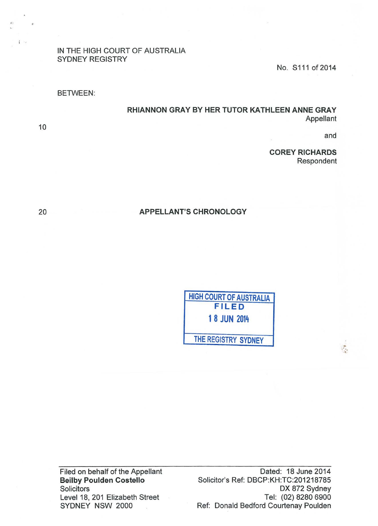IN THE HIGH COURT OF AUSTRALIA SYDNEY REGISTRY

No. S111 of 2014

BETWEEN:

RHIANNON GRAY BY HER TUTOR KATHLEEN ANNE GRAY Appellant

and

 $\mathcal{P}$ 

COREY RICHARDS Respondent

APPELLANT'S CHRONOLOGY

HIGH COURT OF AUSTRALIA FILED 1 8 JUN 2014 THE REGISTRY SYDNEY

Filed on behalf of the Appellant Beilby Poulden Costello **Solicitors** Level 18, 201 Elizabeth Street SYDNEY NSW 2000

Dated: 18 June 2014 Solicitor's Ref: DBCP:KH:TC:201218785 OX 872 Sydney Tel: (02) 8280 6900 Ref: Donald Bedford Courtenay Paulden

20

10

 $\mathbf{I}$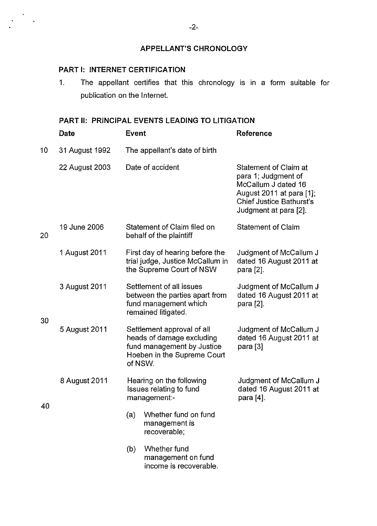## **APPELLANT'S CHRONOLOGY**

## **PART 1: INTERNET CERTIFICATION**

 $\frac{1}{2}$ 

1. The appellant certifies that this chronology is in a form suitable for publication on the Internet.

## **PART II: PRINCIPAL EVENTS LEADING TO LITIGATION**

|    | Date           | Event                                                                                                                           |                                                                                                            | Reference                                                                                                                                                   |
|----|----------------|---------------------------------------------------------------------------------------------------------------------------------|------------------------------------------------------------------------------------------------------------|-------------------------------------------------------------------------------------------------------------------------------------------------------------|
| 10 | 31 August 1992 |                                                                                                                                 | The appellant's date of birth                                                                              |                                                                                                                                                             |
|    | 22 August 2003 |                                                                                                                                 | Date of accident                                                                                           | Statement of Claim at<br>para 1; Judgment of<br>McCallum J dated 16<br>August 2011 at para [1];<br><b>Chief Justice Bathurst's</b><br>Judgment at para [2]. |
| 20 | 19 June 2006   |                                                                                                                                 | Statement of Claim filed on<br>behalf of the plaintiff                                                     | <b>Statement of Claim</b>                                                                                                                                   |
|    | 1 August 2011  |                                                                                                                                 | First day of hearing before the<br>trial judge, Justice McCallum in<br>the Supreme Court of NSW            | Judgment of McCallum J<br>dated 16 August 2011 at<br>para [2].                                                                                              |
| 30 | 3 August 2011  |                                                                                                                                 | Settlement of all issues<br>between the parties apart from<br>fund management which<br>remained litigated. | Judgment of McCallum J<br>dated 16 August 2011 at<br>para [2].                                                                                              |
|    | 5 August 2011  | Settlement approval of all<br>heads of damage excluding<br>fund management by Justice<br>Hoeben in the Supreme Court<br>of NSW. |                                                                                                            | Judgment of McCallum J<br>dated 16 August 2011 at<br>para $[3]$                                                                                             |
| 40 | 8 August 2011  |                                                                                                                                 | Hearing on the following<br>Issues relating to fund<br>management:-                                        | Judgment of McCallum J<br>dated 16 August 2011 at<br>para [4].                                                                                              |
|    |                | (a)                                                                                                                             | Whether fund on fund<br>management is<br>recoverable;                                                      |                                                                                                                                                             |
|    |                | (b)                                                                                                                             | Whether fund<br>management on fund<br>income is recoverable.                                               |                                                                                                                                                             |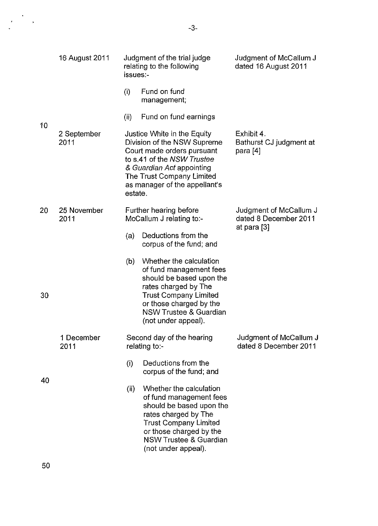|    | 16 August 2011      | issues:-                                           | Judgment of the trial judge<br>relating to the following                                                                                                                                                                      | Judgment of McCallum J<br>dated 16 August 2011    |
|----|---------------------|----------------------------------------------------|-------------------------------------------------------------------------------------------------------------------------------------------------------------------------------------------------------------------------------|---------------------------------------------------|
|    |                     | (i)                                                | Fund on fund<br>management;                                                                                                                                                                                                   |                                                   |
|    |                     | (ii)                                               | Fund on fund earnings                                                                                                                                                                                                         |                                                   |
| 10 | 2 September<br>2011 | estate.                                            | Justice White in the Equity<br>Division of the NSW Supreme<br>Court made orders pursuant<br>to s.41 of the NSW Trustee<br>& Guardian Act appointing<br>The Trust Company Limited<br>as manager of the appellant's             | Exhibit 4.<br>Bathurst CJ judgment at<br>para [4] |
| 20 | 25 November<br>2011 | Further hearing before<br>McCallum J relating to:- |                                                                                                                                                                                                                               | Judgment of McCallum J<br>dated 8 December 2011   |
|    |                     | (a)                                                | Deductions from the<br>corpus of the fund; and                                                                                                                                                                                | at para [3]                                       |
| 30 |                     | (b)                                                | Whether the calculation<br>of fund management fees<br>should be based upon the<br>rates charged by The<br><b>Trust Company Limited</b><br>or those charged by the<br><b>NSW Trustee &amp; Guardian</b><br>(not under appeal). |                                                   |
|    | 1 December<br>2011  |                                                    | Second day of the hearing<br>relating to:-                                                                                                                                                                                    | Judgment of McCallum J<br>dated 8 December 2011   |
| 40 |                     | (i)                                                | Deductions from the<br>corpus of the fund; and                                                                                                                                                                                |                                                   |
|    |                     | (ii)                                               | Whether the calculation<br>of fund management fees<br>should be based upon the<br>rates charged by The<br><b>Trust Company Limited</b><br>or those charged by the<br><b>NSW Trustee &amp; Guardian</b><br>(not under appeal). |                                                   |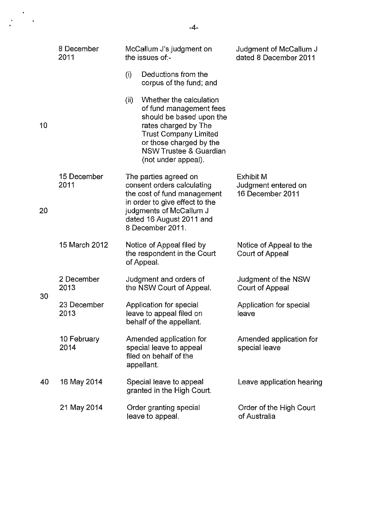|    | 8 December<br>2011  | McCallum J's judgment on<br>the issues of:-                                                                                                                                                                                           | Judgment of McCallum J<br>dated 8 December 2011             |
|----|---------------------|---------------------------------------------------------------------------------------------------------------------------------------------------------------------------------------------------------------------------------------|-------------------------------------------------------------|
|    |                     | (i)<br>Deductions from the<br>corpus of the fund; and                                                                                                                                                                                 |                                                             |
| 10 |                     | Whether the calculation<br>(ii)<br>of fund management fees<br>should be based upon the<br>rates charged by The<br><b>Trust Company Limited</b><br>or those charged by the<br><b>NSW Trustee &amp; Guardian</b><br>(not under appeal). |                                                             |
| 20 | 15 December<br>2011 | The parties agreed on<br>consent orders calculating<br>the cost of fund management<br>in order to give effect to the<br>judgments of McCallum J<br>dated 16 August 2011 and<br>8 December 2011.                                       | <b>Exhibit M</b><br>Judgment entered on<br>16 December 2011 |
|    | 15 March 2012       | Notice of Appeal filed by<br>the respondent in the Court<br>of Appeal.                                                                                                                                                                | Notice of Appeal to the<br>Court of Appeal                  |
| 30 | 2 December<br>2013  | Judgment and orders of<br>the NSW Court of Appeal.                                                                                                                                                                                    | Judgment of the NSW<br>Court of Appeal                      |
|    | 23 December<br>2013 | Application for special<br>leave to appeal filed on<br>behalf of the appellant.                                                                                                                                                       | Application for special<br>leave                            |
| 40 | 10 February<br>2014 | Amended application for<br>special leave to appeal<br>filed on behalf of the<br>appellant.                                                                                                                                            | Amended application for<br>special leave                    |
|    | 16 May 2014         | Special leave to appeal<br>granted in the High Court.                                                                                                                                                                                 | Leave application hearing                                   |
|    | 21 May 2014         | Order granting special<br>leave to appeal.                                                                                                                                                                                            | Order of the High Court<br>of Australia                     |